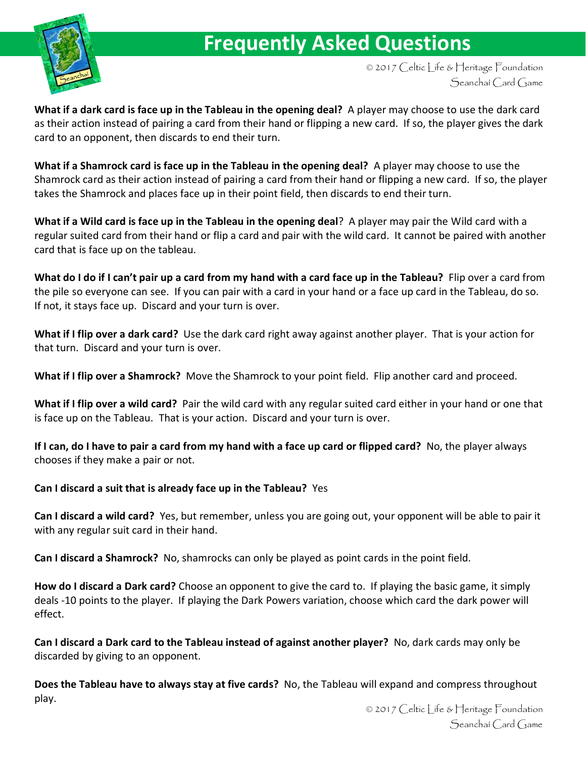

## **Frequently Asked Questions**

© 2017 Celtic Life & Heritage Foundation Seanchaí Card Game

**What if a dark card is face up in the Tableau in the opening deal?** A player may choose to use the dark card as their action instead of pairing a card from their hand or flipping a new card. If so, the player gives the dark card to an opponent, then discards to end their turn.

**What if a Shamrock card is face up in the Tableau in the opening deal?** A player may choose to use the Shamrock card as their action instead of pairing a card from their hand or flipping a new card. If so, the player takes the Shamrock and places face up in their point field, then discards to end their turn.

**What if a Wild card is face up in the Tableau in the opening deal**? A player may pair the Wild card with a regular suited card from their hand or flip a card and pair with the wild card. It cannot be paired with another card that is face up on the tableau.

**What do I do if I can't pair up a card from my hand with a card face up in the Tableau?** Flip over a card from the pile so everyone can see. If you can pair with a card in your hand or a face up card in the Tableau, do so. If not, it stays face up. Discard and your turn is over.

**What if I flip over a dark card?** Use the dark card right away against another player. That is your action for that turn. Discard and your turn is over.

**What if I flip over a Shamrock?** Move the Shamrock to your point field. Flip another card and proceed.

**What if I flip over a wild card?** Pair the wild card with any regular suited card either in your hand or one that is face up on the Tableau. That is your action. Discard and your turn is over.

**If I can, do I have to pair a card from my hand with a face up card or flipped card?** No, the player always chooses if they make a pair or not.

**Can I discard a suit that is already face up in the Tableau?** Yes

**Can I discard a wild card?** Yes, but remember, unless you are going out, your opponent will be able to pair it with any regular suit card in their hand.

**Can I discard a Shamrock?** No, shamrocks can only be played as point cards in the point field.

**How do I discard a Dark card?** Choose an opponent to give the card to. If playing the basic game, it simply deals 10 points to the player. If playing the Dark Powers variation, choose which card the dark power will effect.

**Can I discard a Dark card to the Tableau instead of against another player?** No, dark cards may only be discarded by giving to an opponent.

**Does the Tableau have to always stay at five cards?** No, the Tableau will expand and compress throughout play.